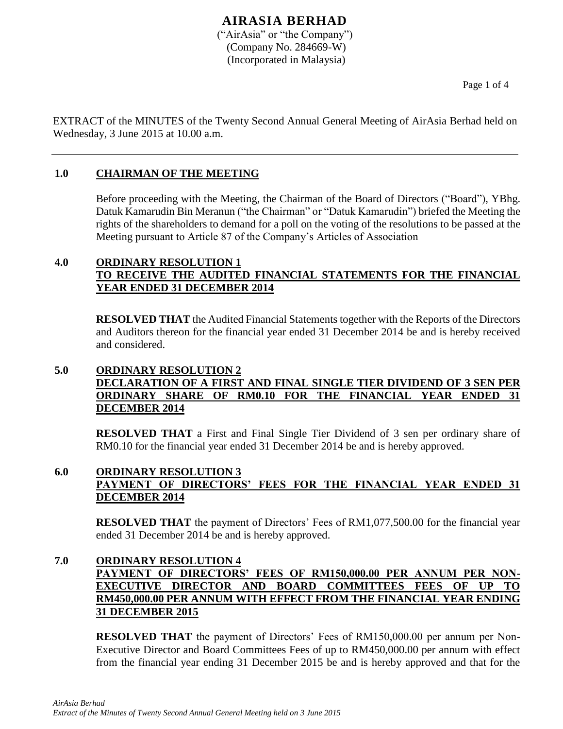### **AIRASIA BERHAD** ("AirAsia" or "the Company") (Company No. 284669-W) (Incorporated in Malaysia)

Page 1 of 4

EXTRACT of the MINUTES of the Twenty Second Annual General Meeting of AirAsia Berhad held on Wednesday, 3 June 2015 at 10.00 a.m.

# **1.0 CHAIRMAN OF THE MEETING**

Before proceeding with the Meeting, the Chairman of the Board of Directors ("Board"), YBhg. Datuk Kamarudin Bin Meranun ("the Chairman" or "Datuk Kamarudin") briefed the Meeting the rights of the shareholders to demand for a poll on the voting of the resolutions to be passed at the Meeting pursuant to Article 87 of the Company's Articles of Association

### **4.0 ORDINARY RESOLUTION 1 TO RECEIVE THE AUDITED FINANCIAL STATEMENTS FOR THE FINANCIAL YEAR ENDED 31 DECEMBER 2014**

**RESOLVED THAT** the Audited Financial Statements together with the Reports of the Directors and Auditors thereon for the financial year ended 31 December 2014 be and is hereby received and considered.

# **5.0 ORDINARY RESOLUTION 2 DECLARATION OF A FIRST AND FINAL SINGLE TIER DIVIDEND OF 3 SEN PER ORDINARY SHARE OF RM0.10 FOR THE FINANCIAL YEAR ENDED 31 DECEMBER 2014**

**RESOLVED THAT** a First and Final Single Tier Dividend of 3 sen per ordinary share of RM0.10 for the financial year ended 31 December 2014 be and is hereby approved.

# **6.0 ORDINARY RESOLUTION 3 PAYMENT OF DIRECTORS' FEES FOR THE FINANCIAL YEAR ENDED 31 DECEMBER 2014**

**RESOLVED THAT** the payment of Directors' Fees of RM1,077,500.00 for the financial year ended 31 December 2014 be and is hereby approved.

# **7.0 ORDINARY RESOLUTION 4 PAYMENT OF DIRECTORS' FEES OF RM150,000.00 PER ANNUM PER NON-EXECUTIVE DIRECTOR AND BOARD COMMITTEES FEES OF UP RM450,000.00 PER ANNUM WITH EFFECT FROM THE FINANCIAL YEAR ENDING 31 DECEMBER 2015**

**RESOLVED THAT** the payment of Directors' Fees of RM150,000.00 per annum per Non-Executive Director and Board Committees Fees of up to RM450,000.00 per annum with effect from the financial year ending 31 December 2015 be and is hereby approved and that for the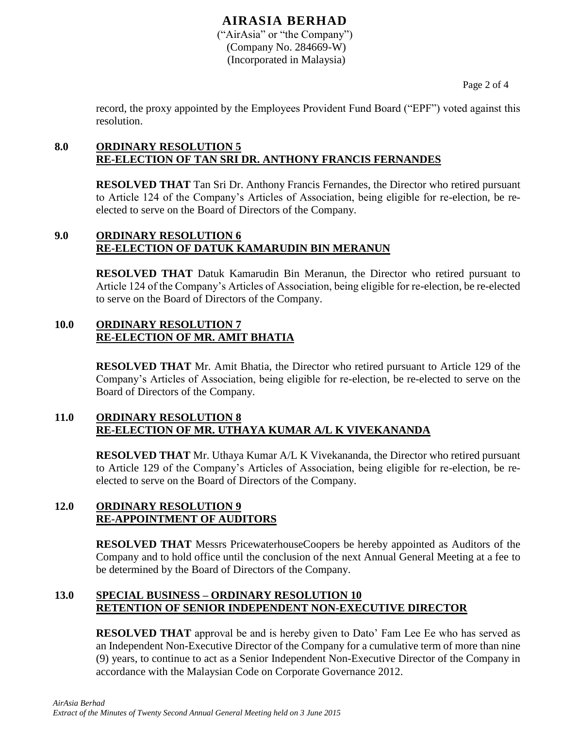# **AIRASIA BERHAD**

("AirAsia" or "the Company") (Company No. 284669-W) (Incorporated in Malaysia)

Page 2 of 4

record, the proxy appointed by the Employees Provident Fund Board ("EPF") voted against this resolution.

# **8.0 ORDINARY RESOLUTION 5 RE-ELECTION OF TAN SRI DR. ANTHONY FRANCIS FERNANDES**

**RESOLVED THAT** Tan Sri Dr. Anthony Francis Fernandes, the Director who retired pursuant to Article 124 of the Company's Articles of Association, being eligible for re-election, be reelected to serve on the Board of Directors of the Company.

### **9.0 ORDINARY RESOLUTION 6 RE-ELECTION OF DATUK KAMARUDIN BIN MERANUN**

**RESOLVED THAT** Datuk Kamarudin Bin Meranun, the Director who retired pursuant to Article 124 of the Company's Articles of Association, being eligible for re-election, be re-elected to serve on the Board of Directors of the Company.

### **10.0 ORDINARY RESOLUTION 7 RE-ELECTION OF MR. AMIT BHATIA**

**RESOLVED THAT** Mr. Amit Bhatia, the Director who retired pursuant to Article 129 of the Company's Articles of Association, being eligible for re-election, be re-elected to serve on the Board of Directors of the Company.

### **11.0 ORDINARY RESOLUTION 8 RE-ELECTION OF MR. UTHAYA KUMAR A/L K VIVEKANANDA**

**RESOLVED THAT** Mr. Uthaya Kumar A/L K Vivekananda, the Director who retired pursuant to Article 129 of the Company's Articles of Association, being eligible for re-election, be reelected to serve on the Board of Directors of the Company.

### **12.0 ORDINARY RESOLUTION 9 RE-APPOINTMENT OF AUDITORS**

**RESOLVED THAT** Messrs PricewaterhouseCoopers be hereby appointed as Auditors of the Company and to hold office until the conclusion of the next Annual General Meeting at a fee to be determined by the Board of Directors of the Company.

# **13.0 SPECIAL BUSINESS – ORDINARY RESOLUTION 10 RETENTION OF SENIOR INDEPENDENT NON-EXECUTIVE DIRECTOR**

**RESOLVED THAT** approval be and is hereby given to Dato' Fam Lee Ee who has served as an Independent Non-Executive Director of the Company for a cumulative term of more than nine (9) years, to continue to act as a Senior Independent Non-Executive Director of the Company in accordance with the Malaysian Code on Corporate Governance 2012.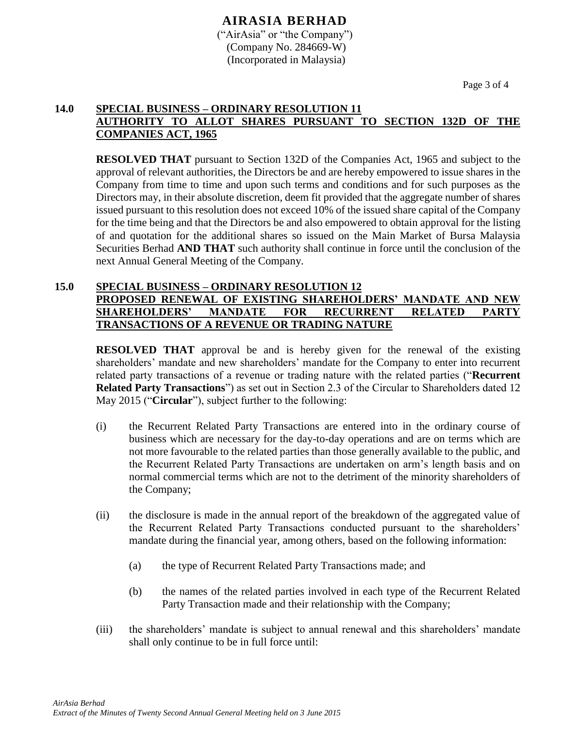### **AIRASIA BERHAD** ("AirAsia" or "the Company") (Company No. 284669-W) (Incorporated in Malaysia)

Page 3 of 4

#### **14.0 SPECIAL BUSINESS – ORDINARY RESOLUTION 11 AUTHORITY TO ALLOT SHARES PURSUANT TO SECTION 132D OF THE COMPANIES ACT, 1965**

**RESOLVED THAT** pursuant to Section 132D of the Companies Act, 1965 and subject to the approval of relevant authorities, the Directors be and are hereby empowered to issue shares in the Company from time to time and upon such terms and conditions and for such purposes as the Directors may, in their absolute discretion, deem fit provided that the aggregate number of shares issued pursuant to this resolution does not exceed 10% of the issued share capital of the Company for the time being and that the Directors be and also empowered to obtain approval for the listing of and quotation for the additional shares so issued on the Main Market of Bursa Malaysia Securities Berhad **AND THAT** such authority shall continue in force until the conclusion of the next Annual General Meeting of the Company.

#### **15.0 SPECIAL BUSINESS – ORDINARY RESOLUTION 12 PROPOSED RENEWAL OF EXISTING SHAREHOLDERS' MANDATE AND NEW SHAREHOLDERS' MANDATE FOR RECURRENT RELATED PARTY TRANSACTIONS OF A REVENUE OR TRADING NATURE**

**RESOLVED THAT** approval be and is hereby given for the renewal of the existing shareholders' mandate and new shareholders' mandate for the Company to enter into recurrent related party transactions of a revenue or trading nature with the related parties ("**Recurrent Related Party Transactions**") as set out in Section 2.3 of the Circular to Shareholders dated 12 May 2015 ("**Circular**"), subject further to the following:

- (i) the Recurrent Related Party Transactions are entered into in the ordinary course of business which are necessary for the day-to-day operations and are on terms which are not more favourable to the related parties than those generally available to the public, and the Recurrent Related Party Transactions are undertaken on arm's length basis and on normal commercial terms which are not to the detriment of the minority shareholders of the Company;
- (ii) the disclosure is made in the annual report of the breakdown of the aggregated value of the Recurrent Related Party Transactions conducted pursuant to the shareholders' mandate during the financial year, among others, based on the following information:
	- (a) the type of Recurrent Related Party Transactions made; and
	- (b) the names of the related parties involved in each type of the Recurrent Related Party Transaction made and their relationship with the Company;
- (iii) the shareholders' mandate is subject to annual renewal and this shareholders' mandate shall only continue to be in full force until: